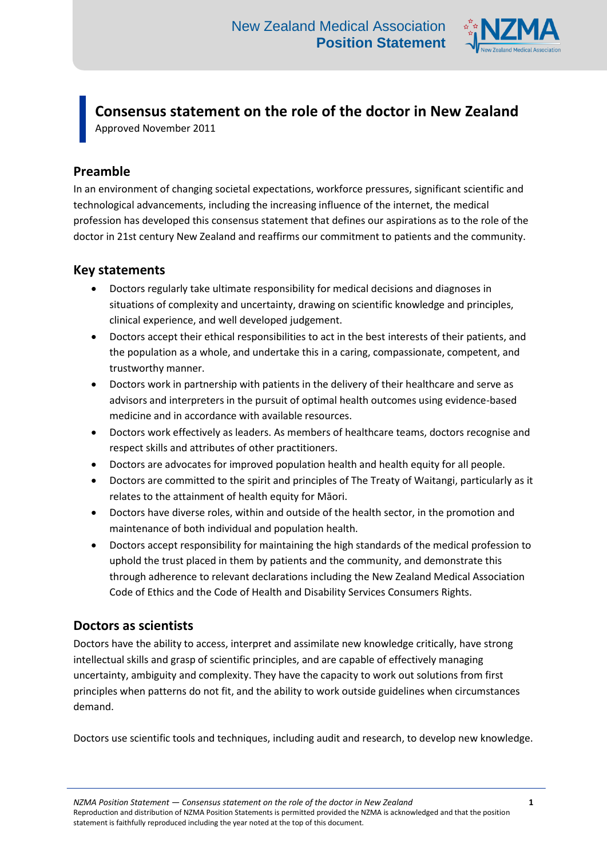

**Consensus statement on the role of the doctor in New Zealand** Approved November 2011

### **Preamble**

In an environment of changing societal expectations, workforce pressures, significant scientific and technological advancements, including the increasing influence of the internet, the medical profession has developed this consensus statement that defines our aspirations as to the role of the doctor in 21st century New Zealand and reaffirms our commitment to patients and the community.

#### **Key statements**

- Doctors regularly take ultimate responsibility for medical decisions and diagnoses in situations of complexity and uncertainty, drawing on scientific knowledge and principles, clinical experience, and well developed judgement.
- Doctors accept their ethical responsibilities to act in the best interests of their patients, and the population as a whole, and undertake this in a caring, compassionate, competent, and trustworthy manner.
- Doctors work in partnership with patients in the delivery of their healthcare and serve as advisors and interpreters in the pursuit of optimal health outcomes using evidence-based medicine and in accordance with available resources.
- Doctors work effectively as leaders. As members of healthcare teams, doctors recognise and respect skills and attributes of other practitioners.
- Doctors are advocates for improved population health and health equity for all people.
- Doctors are committed to the spirit and principles of The Treaty of Waitangi, particularly as it relates to the attainment of health equity for Māori.
- Doctors have diverse roles, within and outside of the health sector, in the promotion and maintenance of both individual and population health.
- Doctors accept responsibility for maintaining the high standards of the medical profession to uphold the trust placed in them by patients and the community, and demonstrate this through adherence to relevant declarations including the New Zealand Medical Association Code of Ethics and the Code of Health and Disability Services Consumers Rights.

## **Doctors as scientists**

Doctors have the ability to access, interpret and assimilate new knowledge critically, have strong intellectual skills and grasp of scientific principles, and are capable of effectively managing uncertainty, ambiguity and complexity. They have the capacity to work out solutions from first principles when patterns do not fit, and the ability to work outside guidelines when circumstances demand.

Doctors use scientific tools and techniques, including audit and research, to develop new knowledge.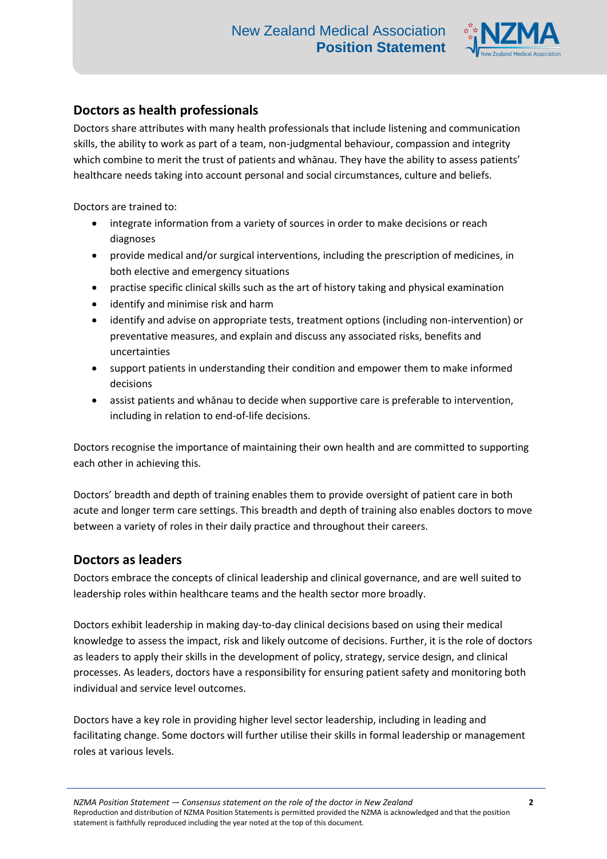

## **Doctors as health professionals**

Doctors share attributes with many health professionals that include listening and communication skills, the ability to work as part of a team, non-judgmental behaviour, compassion and integrity which combine to merit the trust of patients and whānau. They have the ability to assess patients' healthcare needs taking into account personal and social circumstances, culture and beliefs.

Doctors are trained to:

- integrate information from a variety of sources in order to make decisions or reach diagnoses
- provide medical and/or surgical interventions, including the prescription of medicines, in both elective and emergency situations
- practise specific clinical skills such as the art of history taking and physical examination
- identify and minimise risk and harm
- identify and advise on appropriate tests, treatment options (including non-intervention) or preventative measures, and explain and discuss any associated risks, benefits and uncertainties
- support patients in understanding their condition and empower them to make informed decisions
- assist patients and whānau to decide when supportive care is preferable to intervention, including in relation to end-of-life decisions.

Doctors recognise the importance of maintaining their own health and are committed to supporting each other in achieving this.

Doctors' breadth and depth of training enables them to provide oversight of patient care in both acute and longer term care settings. This breadth and depth of training also enables doctors to move between a variety of roles in their daily practice and throughout their careers.

#### **Doctors as leaders**

Doctors embrace the concepts of clinical leadership and clinical governance, and are well suited to leadership roles within healthcare teams and the health sector more broadly.

Doctors exhibit leadership in making day-to-day clinical decisions based on using their medical knowledge to assess the impact, risk and likely outcome of decisions. Further, it is the role of doctors as leaders to apply their skills in the development of policy, strategy, service design, and clinical processes. As leaders, doctors have a responsibility for ensuring patient safety and monitoring both individual and service level outcomes.

Doctors have a key role in providing higher level sector leadership, including in leading and facilitating change. Some doctors will further utilise their skills in formal leadership or management roles at various levels.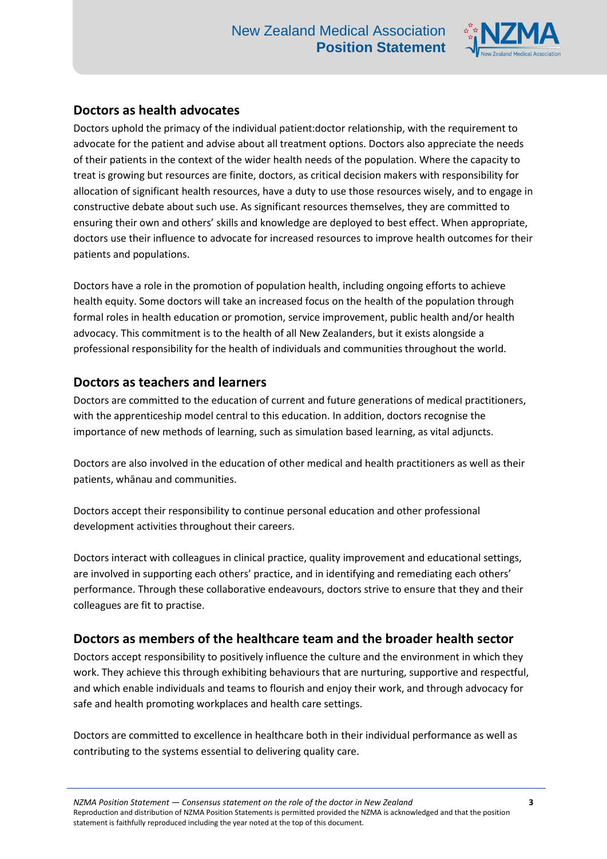

## **Doctors as health advocates**

Doctors uphold the primacy of the individual patient:doctor relationship, with the requirement to advocate for the patient and advise about all treatment options. Doctors also appreciate the needs of their patients in the context of the wider health needs of the population. Where the capacity to treat is growing but resources are finite, doctors, as critical decision makers with responsibility for allocation of significant health resources, have a duty to use those resources wisely, and to engage in constructive debate about such use. As significant resources themselves, they are committed to ensuring their own and others' skills and knowledge are deployed to best effect. When appropriate, doctors use their influence to advocate for increased resources to improve health outcomes for their patients and populations.

Doctors have a role in the promotion of population health, including ongoing efforts to achieve health equity. Some doctors will take an increased focus on the health of the population through formal roles in health education or promotion, service improvement, public health and/or health advocacy. This commitment is to the health of all New Zealanders, but it exists alongside a professional responsibility for the health of individuals and communities throughout the world.

## **Doctors as teachers and learners**

Doctors are committed to the education of current and future generations of medical practitioners, with the apprenticeship model central to this education. In addition, doctors recognise the importance of new methods of learning, such as simulation based learning, as vital adjuncts.

Doctors are also involved in the education of other medical and health practitioners as well as their patients, whānau and communities.

Doctors accept their responsibility to continue personal education and other professional development activities throughout their careers.

Doctors interact with colleagues in clinical practice, quality improvement and educational settings, are involved in supporting each others' practice, and in identifying and remediating each others' performance. Through these collaborative endeavours, doctors strive to ensure that they and their colleagues are fit to practise.

# **Doctors as members of the healthcare team and the broader health sector**

Doctors accept responsibility to positively influence the culture and the environment in which they work. They achieve this through exhibiting behaviours that are nurturing, supportive and respectful, and which enable individuals and teams to flourish and enjoy their work, and through advocacy for safe and health promoting workplaces and health care settings.

Doctors are committed to excellence in healthcare both in their individual performance as well as contributing to the systems essential to delivering quality care.